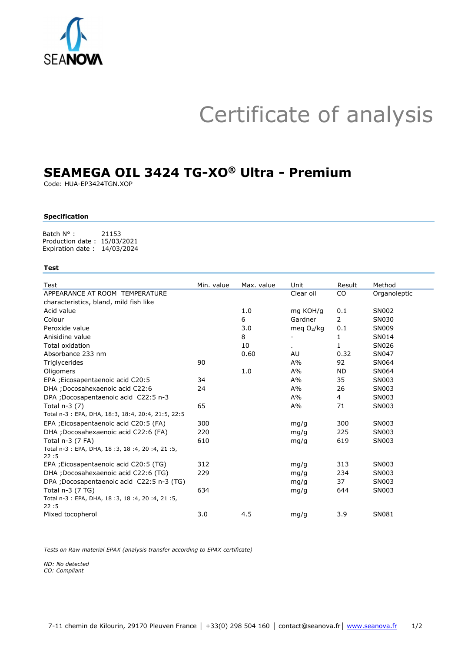## Certificate of analysis

sncp Mkce 1 + MGS rtp202 +REN+pckgsk

Code: HUA-EP3424TGN.XOP

## Specification

Batch N° : 21153 Production date : 15/03/2021 Expiration date : 14/03/2024

## Test

| Test                                                  | Min. value | Max. value | Unit        | Result         | Method       |
|-------------------------------------------------------|------------|------------|-------------|----------------|--------------|
| APPEARANCE AT ROOM TEMPERATURE                        |            |            | Clear oil   | CO             | Organoleptic |
| characteristics, bland, mild fish like                |            |            |             |                |              |
| Acid value                                            |            | 1.0        | mg KOH/g    | 0.1            | SN002        |
| Colour                                                |            | 6          | Gardner     | $\overline{2}$ | SN030        |
| Peroxide value                                        |            | 3.0        | meg $O2/kg$ | 0.1            | SN009        |
| Anisidine value                                       |            | 8          |             | 1              | SN014        |
| Total oxidation                                       |            | 10         | á.          | 1              | SN026        |
| Absorbance 233 nm                                     |            | 0.60       | AU          | 0.32           | SN047        |
| Triglycerides                                         | 90         |            | $A\%$       | 92             | SN064        |
| Oligomers                                             |            | 1.0        | $A\%$       | <b>ND</b>      | SN064        |
| EPA ; Eicosapentaenoic acid C20:5                     | 34         |            | $A\%$       | 35             | SN003        |
| DHA ; Docosahexaenoic acid C22:6                      | 24         |            | $A\%$       | 26             | SN003        |
| DPA ; Docosapentaenoic acid C22:5 n-3                 |            |            | $A\%$       | 4              | SN003        |
| Total $n-3(7)$                                        | 65         |            | $A\%$       | 71             | SN003        |
| Total n-3: EPA, DHA, 18:3, 18:4, 20:4, 21:5, 22:5     |            |            |             |                |              |
| EPA ; Eicosapentaenoic acid C20:5 (FA)                | 300        |            | mq/q        | 300            | SN003        |
| DHA ; Docosahexaenoic acid C22:6 (FA)                 | 220        |            | mg/g        | 225            | SN003        |
| Total $n-3$ (7 FA)                                    | 610        |            | mq/q        | 619            | SN003        |
| Total n-3 : EPA, DHA, 18 : 3, 18 : 4, 20 : 4, 21 : 5, |            |            |             |                |              |
| 22:5                                                  |            |            |             |                |              |
| EPA ; Eicosapentaenoic acid C20:5 (TG)                | 312        |            | mg/g        | 313            | SN003        |
| DHA ; Docosahexaenoic acid C22:6 (TG)                 | 229        |            | mq/q        | 234            | SN003        |
| DPA; Docosapentaenoic acid C22:5 n-3 (TG)             |            |            | mq/q        | 37             | SN003        |
| Total n-3 (7 TG)                                      | 634        |            | mg/g        | 644            | SN003        |
| Total n-3 : EPA, DHA, 18 : 3, 18 : 4, 20 : 4, 21 : 5, |            |            |             |                |              |
| 22:5                                                  |            |            |             |                |              |
| Mixed tocopherol                                      | 3.0        | 4.5        | mg/g        | 3.9            | SN081        |

Tests on Raw material EPAX (analysis transfer according to EPAX certificate)

ND: No detected CO: Compliant